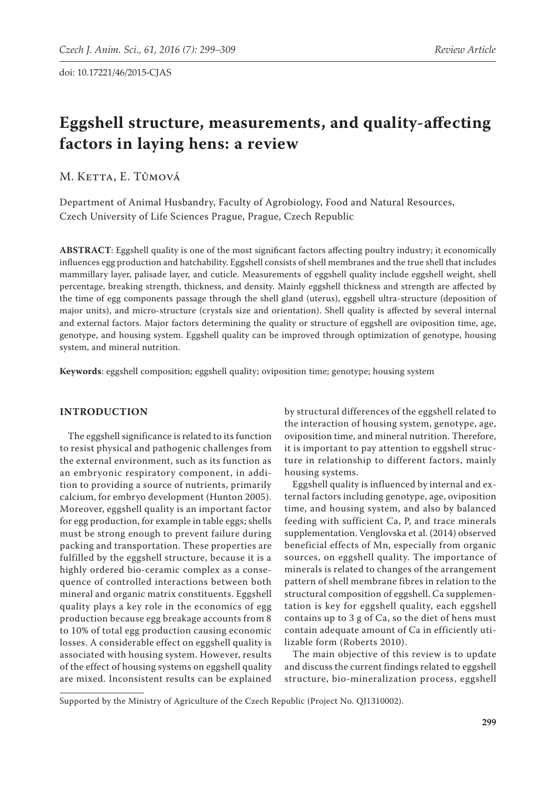# **Eggshell structure, measurements, and quality-affecting factors in laying hens: a review**

M. KETTA, E. TŮMOVÁ

Department of Animal Husbandry, Faculty of Agrobiology, Food and Natural Resources, Czech University of Life Sciences Prague, Prague, Czech Republic

**ABSTRACT**: Eggshell quality is one of the most significant factors affecting poultry industry; it economically influences egg production and hatchability. Eggshell consists of shell membranes and the true shell that includes mammillary layer, palisade layer, and cuticle. Measurements of eggshell quality include eggshell weight, shell percentage, breaking strength, thickness, and density. Mainly eggshell thickness and strength are affected by the time of egg components passage through the shell gland (uterus), eggshell ultra-structure (deposition of major units), and micro-structure (crystals size and orientation). Shell quality is affected by several internal and external factors. Major factors determining the quality or structure of eggshell are oviposition time, age, genotype, and housing system. Eggshell quality can be improved through optimization of genotype, housing system, and mineral nutrition.

**Keywords**: eggshell composition; eggshell quality; oviposition time; genotype; housing system

# **INTRODUCTION**

The eggshell significance is related to its function to resist physical and pathogenic challenges from the external environment, such as its function as an embryonic respiratory component, in addition to providing a source of nutrients, primarily calcium, for embryo development (Hunton 2005). Moreover, eggshell quality is an important factor for egg production, for example in table eggs; shells must be strong enough to prevent failure during packing and transportation. These properties are fulfilled by the eggshell structure, because it is a highly ordered bio-ceramic complex as a consequence of controlled interactions between both mineral and organic matrix constituents. Eggshell quality plays a key role in the economics of egg production because egg breakage accounts from 8 to 10% of total egg production causing economic losses. A considerable effect on eggshell quality is associated with housing system. However, results of the effect of housing systems on eggshell quality are mixed. Inconsistent results can be explained by structural differences of the eggshell related to the interaction of housing system, genotype, age, oviposition time, and mineral nutrition. Therefore, it is important to pay attention to eggshell structure in relationship to different factors, mainly housing systems.

Eggshell quality is influenced by internal and external factors including genotype, age, oviposition time, and housing system, and also by balanced feeding with sufficient Ca, P, and trace minerals supplementation. Venglovska et al. (2014) observed beneficial effects of Mn, especially from organic sources, on eggshell quality. The importance of minerals is related to changes of the arrangement pattern of shell membrane fibres in relation to the structural composition of eggshell. Ca supplementation is key for eggshell quality, each eggshell contains up to 3 g of Ca, so the diet of hens must contain adequate amount of Ca in efficiently utilizable form (Roberts 2010).

The main objective of this review is to update and discuss the current findings related to eggshell structure, bio-mineralization process, eggshell

Supported by the Ministry of Agriculture of the Czech Republic (Project No. QJ1310002).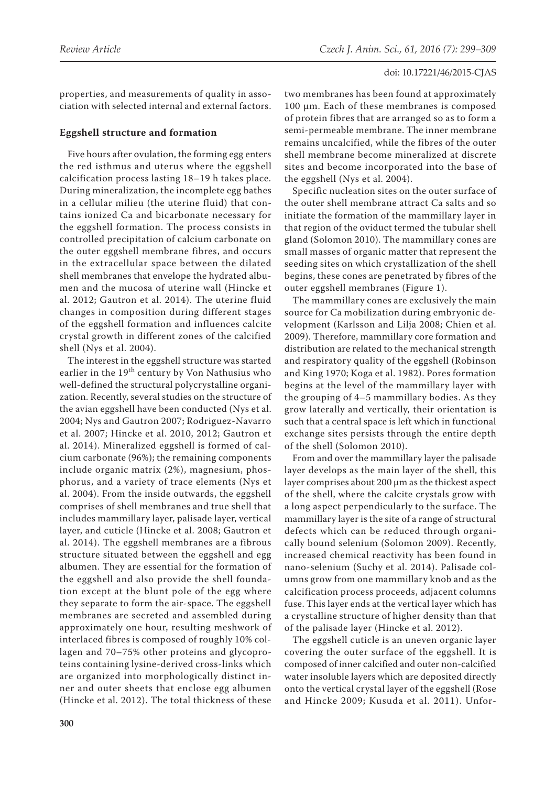properties, and measurements of quality in association with selected internal and external factors.

# **Eggshell structure and formation**

Five hours after ovulation, the forming egg enters the red isthmus and uterus where the eggshell calcification process lasting 18–19 h takes place. During mineralization, the incomplete egg bathes in a cellular milieu (the uterine fluid) that contains ionized Ca and bicarbonate necessary for the eggshell formation. The process consists in controlled precipitation of calcium carbonate on the outer eggshell membrane fibres, and occurs in the extracellular space between the dilated shell membranes that envelope the hydrated albumen and the mucosa of uterine wall (Hincke et al. 2012; Gautron et al. 2014). The uterine fluid changes in composition during different stages of the eggshell formation and influences calcite crystal growth in different zones of the calcified shell (Nys et al. 2004).

The interest in the eggshell structure was started earlier in the 19<sup>th</sup> century by Von Nathusius who well-defined the structural polycrystalline organization. Recently, several studies on the structure of the avian eggshell have been conducted (Nys et al. 2004; Nys and Gautron 2007; Rodriguez-Navarro et al. 2007; Hincke et al. 2010, 2012; Gautron et al. 2014). Mineralized eggshell is formed of calcium carbonate (96%); the remaining components include organic matrix (2%), magnesium, phosphorus, and a variety of trace elements (Nys et al. 2004). From the inside outwards, the eggshell comprises of shell membranes and true shell that includes mammillary layer, palisade layer, vertical layer, and cuticle (Hincke et al. 2008; Gautron et al. 2014). The eggshell membranes are a fibrous structure situated between the eggshell and egg albumen. They are essential for the formation of the eggshell and also provide the shell foundation except at the blunt pole of the egg where they separate to form the air-space. The eggshell membranes are secreted and assembled during approximately one hour, resulting meshwork of interlaced fibres is composed of roughly 10% collagen and 70–75% other proteins and glycoproteins containing lysine-derived cross-links which are organized into morphologically distinct inner and outer sheets that enclose egg albumen (Hincke et al. 2012). The total thickness of these

two membranes has been found at approximately 100 µm. Each of these membranes is composed of protein fibres that are arranged so as to form a semi-permeable membrane. The inner membrane remains uncalcified, while the fibres of the outer shell membrane become mineralized at discrete sites and become incorporated into the base of the eggshell (Nys et al. 2004).

Specific nucleation sites on the outer surface of the outer shell membrane attract Ca salts and so initiate the formation of the mammillary layer in that region of the oviduct termed the tubular shell gland (Solomon 2010). The mammillary cones are small masses of organic matter that represent the seeding sites on which crystallization of the shell begins, these cones are penetrated by fibres of the outer eggshell membranes (Figure 1).

The mammillary cones are exclusively the main source for Ca mobilization during embryonic development (Karlsson and Lilja 2008; Chien et al. 2009). Therefore, mammillary core formation and distribution are related to the mechanical strength and respiratory quality of the eggshell (Robinson and King 1970; Koga et al. 1982). Pores formation begins at the level of the mammillary layer with the grouping of 4–5 mammillary bodies. As they grow laterally and vertically, their orientation is such that a central space is left which in functional exchange sites persists through the entire depth of the shell (Solomon 2010).

From and over the mammillary layer the palisade layer develops as the main layer of the shell, this layer comprises about 200 µm as the thickest aspect of the shell, where the calcite crystals grow with a long aspect perpendicularly to the surface. The mammillary layer is the site of a range of structural defects which can be reduced through organically bound selenium (Solomon 2009). Recently, increased chemical reactivity has been found in nano-selenium (Suchy et al. 2014). Palisade columns grow from one mammillary knob and as the calcification process proceeds, adjacent columns fuse. This layer ends at the vertical layer which has a crystalline structure of higher density than that of the palisade layer (Hincke et al. 2012).

The eggshell cuticle is an uneven organic layer covering the outer surface of the eggshell. It is composed of inner calcified and outer non-calcified water insoluble layers which are deposited directly onto the vertical crystal layer of the eggshell (Rose and Hincke 2009; Kusuda et al. 2011). Unfor-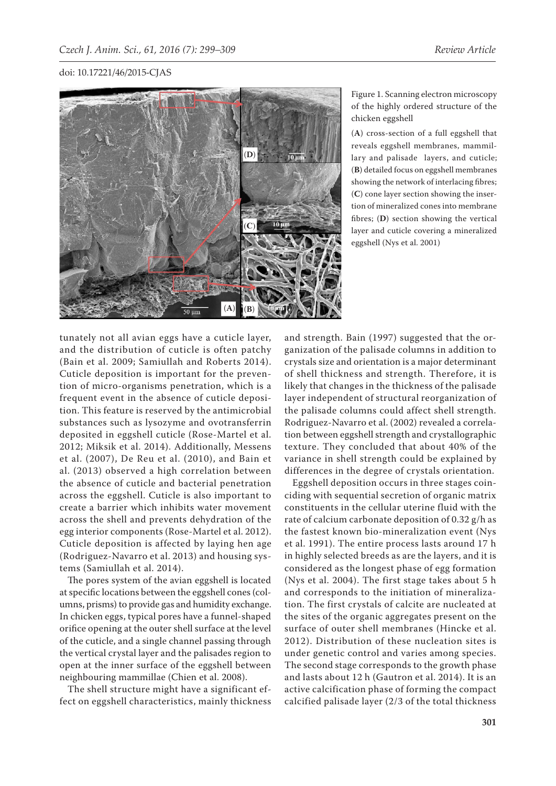

Figure 1. Scanning electron microscopy of the highly ordered structure of the chicken eggshell

(**A**) cross-section of a full eggshell that reveals eggshell membranes, mammillary and palisade layers, and cuticle; (**B**) detailed focus on eggshell membranes showing the network of interlacing fibres; (**C**) cone layer section showing the insertion of mineralized cones into membrane fibres; (**D**) section showing the vertical layer and cuticle covering a mineralized eggshell (Nys et al. 2001)

tunately not all avian eggs have a cuticle layer, and the distribution of cuticle is often patchy (Bain et al. 2009; Samiullah and Roberts 2014). Cuticle deposition is important for the prevention of micro-organisms penetration, which is a frequent event in the absence of cuticle deposition. This feature is reserved by the antimicrobial substances such as lysozyme and ovotransferrin deposited in eggshell cuticle (Rose-Martel et al. 2012; Miksik et al. 2014). Additionally, Messens et al. (2007), De Reu et al. (2010), and Bain et al. (2013) observed a high correlation between the absence of cuticle and bacterial penetration across the eggshell. Cuticle is also important to create a barrier which inhibits water movement across the shell and prevents dehydration of the egg interior components (Rose-Martel et al. 2012). Cuticle deposition is affected by laying hen age (Rodriguez-Navarro et al. 2013) and housing systems (Samiullah et al. 2014).

The pores system of the avian eggshell is located at specific locations between the eggshell cones (columns, prisms) to provide gas and humidity exchange. In chicken eggs, typical pores have a funnel-shaped orifice opening at the outer shell surface at the level of the cuticle, and a single channel passing through the vertical crystal layer and the palisades region to open at the inner surface of the eggshell between neighbouring mammillae (Chien et al. 2008).

The shell structure might have a significant effect on eggshell characteristics, mainly thickness

and strength. Bain (1997) suggested that the organization of the palisade columns in addition to crystals size and orientation is a major determinant of shell thickness and strength. Therefore, it is likely that changes in the thickness of the palisade layer independent of structural reorganization of the palisade columns could affect shell strength. Rodriguez-Navarro et al. (2002) revealed a correlation between eggshell strength and crystallographic texture. They concluded that about 40% of the variance in shell strength could be explained by differences in the degree of crystals orientation.

Eggshell deposition occurs in three stages coinciding with sequential secretion of organic matrix constituents in the cellular uterine fluid with the rate of calcium carbonate deposition of 0.32 g/h as the fastest known bio-mineralization event (Nys et al. 1991). The entire process lasts around 17 h in highly selected breeds as are the layers, and it is considered as the longest phase of egg formation (Nys et al. 2004). The first stage takes about 5 h and corresponds to the initiation of mineralization. The first crystals of calcite are nucleated at the sites of the organic aggregates present on the surface of outer shell membranes (Hincke et al. 2012). Distribution of these nucleation sites is under genetic control and varies among species. The second stage corresponds to the growth phase and lasts about 12 h (Gautron et al. 2014). It is an active calcification phase of forming the compact calcified palisade layer (2/3 of the total thickness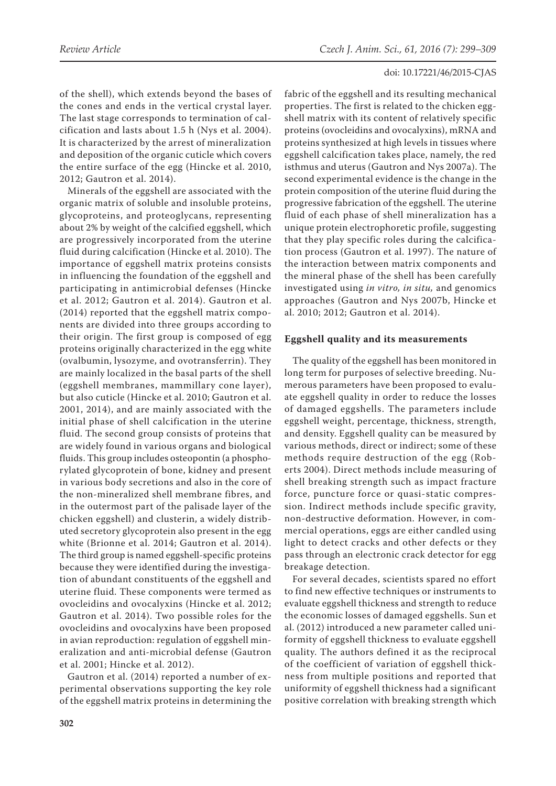of the shell), which extends beyond the bases of the cones and ends in the vertical crystal layer. The last stage corresponds to termination of calcification and lasts about 1.5 h (Nys et al. 2004). It is characterized by the arrest of mineralization and deposition of the organic cuticle which covers the entire surface of the egg (Hincke et al. 2010, 2012; Gautron et al. 2014).

Minerals of the eggshell are associated with the organic matrix of soluble and insoluble proteins, glycoproteins, and proteoglycans, representing about 2% by weight of the calcified eggshell, which are progressively incorporated from the uterine fluid during calcification (Hincke et al. 2010). The importance of eggshell matrix proteins consists in influencing the foundation of the eggshell and participating in antimicrobial defenses (Hincke et al. 2012; Gautron et al. 2014). Gautron et al. (2014) reported that the eggshell matrix components are divided into three groups according to their origin. The first group is composed of egg proteins originally characterized in the egg white (ovalbumin, lysozyme, and ovotransferrin). They are mainly localized in the basal parts of the shell (eggshell membranes, mammillary cone layer), but also cuticle (Hincke et al. 2010; Gautron et al. 2001, 2014), and are mainly associated with the initial phase of shell calcification in the uterine fluid. The second group consists of proteins that are widely found in various organs and biological fluids. This group includes osteopontin (a phosphorylated glycoprotein of bone, kidney and present in various body secretions and also in the core of the non-mineralized shell membrane fibres, and in the outermost part of the palisade layer of the chicken eggshell) and clusterin, a widely distributed secretory glycoprotein also present in the egg white (Brionne et al. 2014; Gautron et al. 2014). The third group is named eggshell-specific proteins because they were identified during the investigation of abundant constituents of the eggshell and uterine fluid. These components were termed as ovocleidins and ovocalyxins (Hincke et al. 2012; Gautron et al. 2014). Two possible roles for the ovocleidins and ovocalyxins have been proposed in avian reproduction: regulation of eggshell mineralization and anti-microbial defense (Gautron et al. 2001; Hincke et al. 2012).

Gautron et al. (2014) reported a number of experimental observations supporting the key role of the eggshell matrix proteins in determining the fabric of the eggshell and its resulting mechanical properties. The first is related to the chicken eggshell matrix with its content of relatively specific proteins (ovocleidins and ovocalyxins), mRNA and proteins synthesized at high levels in tissues where eggshell calcification takes place, namely, the red isthmus and uterus (Gautron and Nys 2007a). The second experimental evidence is the change in the protein composition of the uterine fluid during the progressive fabrication of the eggshell. The uterine fluid of each phase of shell mineralization has a unique protein electrophoretic profile, suggesting that they play specific roles during the calcification process (Gautron et al. 1997). The nature of the interaction between matrix components and the mineral phase of the shell has been carefully investigated using *in vitro, in situ,* and genomics approaches (Gautron and Nys 2007b, Hincke et al. 2010; 2012; Gautron et al. 2014).

# **Eggshell quality and its measurements**

The quality of the eggshell has been monitored in long term for purposes of selective breeding. Numerous parameters have been proposed to evaluate eggshell quality in order to reduce the losses of damaged eggshells. The parameters include eggshell weight, percentage, thickness, strength, and density. Eggshell quality can be measured by various methods, direct or indirect; some of these methods require destruction of the egg (Roberts 2004). Direct methods include measuring of shell breaking strength such as impact fracture force, puncture force or quasi-static compression. Indirect methods include specific gravity, non-destructive deformation. However, in commercial operations, eggs are either candled using light to detect cracks and other defects or they pass through an electronic crack detector for egg breakage detection.

For several decades, scientists spared no effort to find new effective techniques or instruments to evaluate eggshell thickness and strength to reduce the economic losses of damaged eggshells. Sun et al. (2012) introduced a new parameter called uniformity of eggshell thickness to evaluate eggshell quality. The authors defined it as the reciprocal of the coefficient of variation of eggshell thickness from multiple positions and reported that uniformity of eggshell thickness had a significant positive correlation with breaking strength which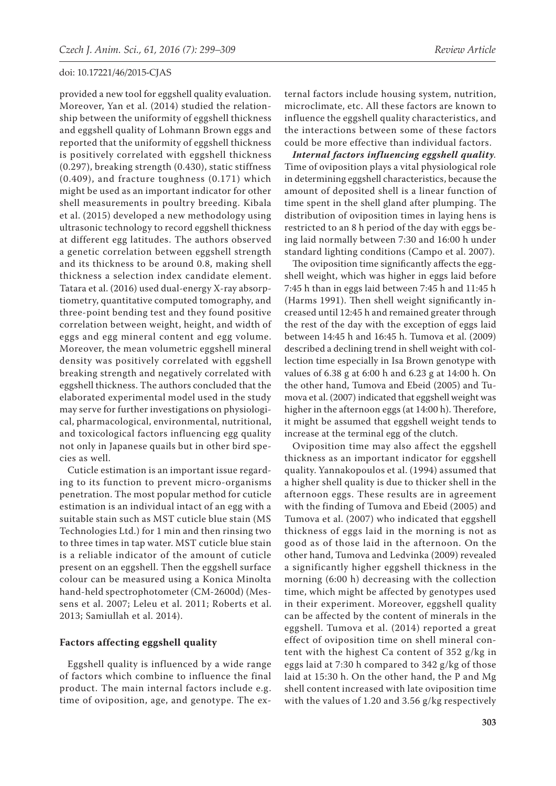provided a new tool for eggshell quality evaluation. Moreover, Yan et al. (2014) studied the relationship between the uniformity of eggshell thickness and eggshell quality of Lohmann Brown eggs and reported that the uniformity of eggshell thickness is positively correlated with eggshell thickness (0.297), breaking strength (0.430), static stiffness (0.409), and fracture toughness (0.171) which might be used as an important indicator for other shell measurements in poultry breeding. Kibala et al. (2015) developed a new methodology using ultrasonic technology to record eggshell thickness at different egg latitudes. The authors observed a genetic correlation between eggshell strength and its thickness to be around 0.8, making shell thickness a selection index candidate element. Tatara et al. (2016) used dual-energy X-ray absorptiometry, quantitative computed tomography, and three-point bending test and they found positive correlation between weight, height, and width of eggs and egg mineral content and egg volume. Moreover, the mean volumetric eggshell mineral density was positively correlated with eggshell breaking strength and negatively correlated with eggshell thickness. The authors concluded that the elaborated experimental model used in the study may serve for further investigations on physiological, pharmacological, environmental, nutritional, and toxicological factors influencing egg quality not only in Japanese quails but in other bird species as well.

Cuticle estimation is an important issue regarding to its function to prevent micro-organisms penetration. The most popular method for cuticle estimation is an individual intact of an egg with a suitable stain such as MST cuticle blue stain (MS Technologies Ltd.) for 1 min and then rinsing two to three times in tap water. MST cuticle blue stain is a reliable indicator of the amount of cuticle present on an eggshell. Then the eggshell surface colour can be measured using a Konica Minolta hand-held spectrophotometer (CM-2600d) (Messens et al. 2007; Leleu et al. 2011; Roberts et al. 2013; Samiullah et al. 2014).

# **Factors affecting eggshell quality**

Eggshell quality is influenced by a wide range of factors which combine to influence the final product. The main internal factors include e.g. time of oviposition, age, and genotype. The ex-

ternal factors include housing system, nutrition, microclimate, etc. All these factors are known to influence the eggshell quality characteristics, and the interactions between some of these factors could be more effective than individual factors.

*Internal factors influencing eggshell quality.* Time of oviposition plays a vital physiological role in determining eggshell characteristics, because the amount of deposited shell is a linear function of time spent in the shell gland after plumping. The distribution of oviposition times in laying hens is restricted to an 8 h period of the day with eggs being laid normally between 7:30 and 16:00 h under standard lighting conditions (Campo et al. 2007).

The oviposition time significantly affects the eggshell weight, which was higher in eggs laid before 7:45 h than in eggs laid between 7:45 h and 11:45 h (Harms 1991). Then shell weight significantly increased until 12:45 h and remained greater through the rest of the day with the exception of eggs laid between 14:45 h and 16:45 h. Tumova et al. (2009) described a declining trend in shell weight with collection time especially in Isa Brown genotype with values of 6.38 g at 6:00 h and 6.23 g at 14:00 h. On the other hand, Tumova and Ebeid (2005) and Tumova et al. (2007) indicated that eggshell weight was higher in the afternoon eggs (at 14:00 h). Therefore, it might be assumed that eggshell weight tends to increase at the terminal egg of the clutch.

Oviposition time may also affect the eggshell thickness as an important indicator for eggshell quality. Yannakopoulos et al. (1994) assumed that a higher shell quality is due to thicker shell in the afternoon eggs. These results are in agreement with the finding of Tumova and Ebeid (2005) and Tumova et al. (2007) who indicated that eggshell thickness of eggs laid in the morning is not as good as of those laid in the afternoon. On the other hand, Tumova and Ledvinka (2009) revealed a significantly higher eggshell thickness in the morning (6:00 h) decreasing with the collection time, which might be affected by genotypes used in their experiment. Moreover, eggshell quality can be affected by the content of minerals in the eggshell. Tumova et al. (2014) reported a great effect of oviposition time on shell mineral content with the highest Ca content of 352 g/kg in eggs laid at 7:30 h compared to 342 g/kg of those laid at 15:30 h. On the other hand, the P and Mg shell content increased with late oviposition time with the values of 1.20 and 3.56 g/kg respectively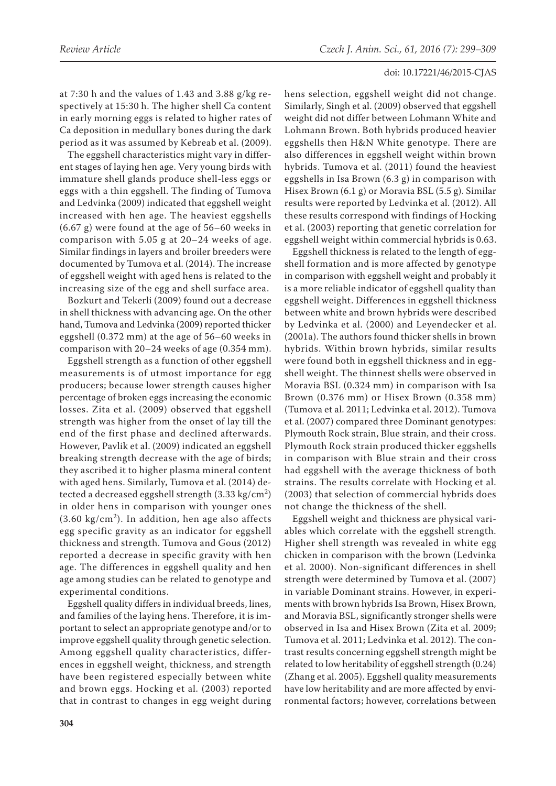at 7:30 h and the values of 1.43 and 3.88 g/kg respectively at 15:30 h. The higher shell Ca content in early morning eggs is related to higher rates of Ca deposition in medullary bones during the dark period as it was assumed by Kebreab et al. (2009).

The eggshell characteristics might vary in different stages of laying hen age. Very young birds with immature shell glands produce shell-less eggs or eggs with a thin eggshell. The finding of Tumova and Ledvinka (2009) indicated that eggshell weight increased with hen age. The heaviest eggshells (6.67 g) were found at the age of 56–60 weeks in comparison with 5.05 g at 20–24 weeks of age. Similar findings in layers and broiler breeders were documented by Tumova et al. (2014). The increase of eggshell weight with aged hens is related to the increasing size of the egg and shell surface area.

Bozkurt and Tekerli (2009) found out a decrease in shell thickness with advancing age. On the other hand, Tumova and Ledvinka (2009) reported thicker eggshell (0.372 mm) at the age of 56–60 weeks in comparison with 20–24 weeks of age (0.354 mm).

Eggshell strength as a function of other eggshell measurements is of utmost importance for egg producers; because lower strength causes higher percentage of broken eggs increasing the economic losses. Zita et al. (2009) observed that eggshell strength was higher from the onset of lay till the end of the first phase and declined afterwards. However, Pavlik et al. (2009) indicated an eggshell breaking strength decrease with the age of birds; they ascribed it to higher plasma mineral content with aged hens. Similarly, Tumova et al. (2014) detected a decreased eggshell strength (3.33 kg/cm<sup>2</sup>) in older hens in comparison with younger ones  $(3.60 \text{ kg/cm}^2)$ . In addition, hen age also affects egg specific gravity as an indicator for eggshell thickness and strength. Tumova and Gous (2012) reported a decrease in specific gravity with hen age. The differences in eggshell quality and hen age among studies can be related to genotype and experimental conditions.

Eggshell quality differs in individual breeds, lines, and families of the laying hens. Therefore, it is important to select an appropriate genotype and/or to improve eggshell quality through genetic selection. Among eggshell quality characteristics, differences in eggshell weight, thickness, and strength have been registered especially between white and brown eggs. Hocking et al. (2003) reported that in contrast to changes in egg weight during hens selection, eggshell weight did not change. Similarly, Singh et al. (2009) observed that eggshell weight did not differ between Lohmann White and Lohmann Brown. Both hybrids produced heavier eggshells then H&N White genotype. There are also differences in eggshell weight within brown hybrids. Tumova et al. (2011) found the heaviest eggshells in Isa Brown (6.3 g) in comparison with Hisex Brown (6.1 g) or Moravia BSL (5.5 g). Similar results were reported by Ledvinka et al. (2012). All these results correspond with findings of Hocking et al. (2003) reporting that genetic correlation for eggshell weight within commercial hybrids is 0.63.

Eggshell thickness is related to the length of eggshell formation and is more affected by genotype in comparison with eggshell weight and probably it is a more reliable indicator of eggshell quality than eggshell weight. Differences in eggshell thickness between white and brown hybrids were described by Ledvinka et al. (2000) and Leyendecker et al. (2001a). The authors found thicker shells in brown hybrids. Within brown hybrids, similar results were found both in eggshell thickness and in eggshell weight. The thinnest shells were observed in Moravia BSL (0.324 mm) in comparison with Isa Brown (0.376 mm) or Hisex Brown (0.358 mm) (Tumova et al. 2011; Ledvinka et al. 2012). Tumova et al. (2007) compared three Dominant genotypes: Plymouth Rock strain, Blue strain, and their cross. Plymouth Rock strain produced thicker eggshells in comparison with Blue strain and their cross had eggshell with the average thickness of both strains. The results correlate with Hocking et al. (2003) that selection of commercial hybrids does not change the thickness of the shell.

Eggshell weight and thickness are physical variables which correlate with the eggshell strength. Higher shell strength was revealed in white egg chicken in comparison with the brown (Ledvinka et al. 2000). Non-significant differences in shell strength were determined by Tumova et al. (2007) in variable Dominant strains. However, in experiments with brown hybrids Isa Brown, Hisex Brown, and Moravia BSL, significantly stronger shells were observed in Isa and Hisex Brown (Zita et al. 2009; Tumova et al. 2011; Ledvinka et al. 2012). The contrast results concerning eggshell strength might be related to low heritability of eggshell strength (0.24) (Zhang et al. 2005). Eggshell quality measurements have low heritability and are more affected by environmental factors; however, correlations between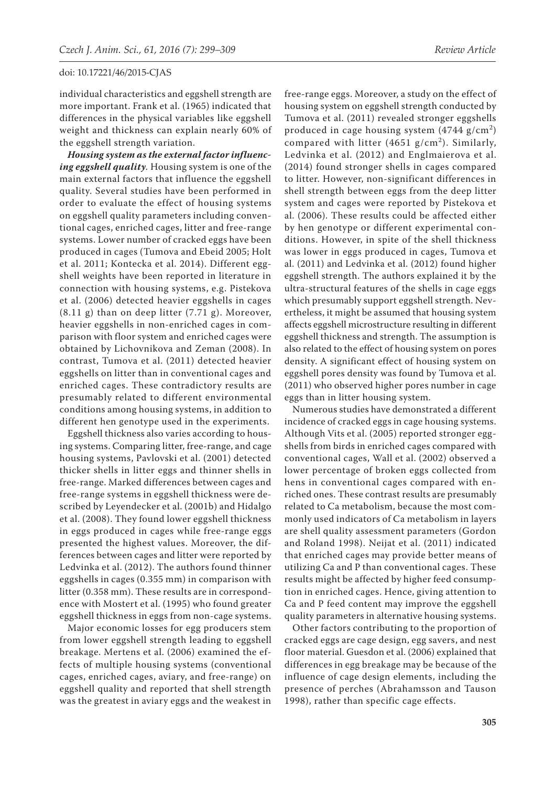individual characteristics and eggshell strength are more important. Frank et al. (1965) indicated that differences in the physical variables like eggshell weight and thickness can explain nearly 60% of the eggshell strength variation.

*Housing system as the external factor influencing eggshell quality.* Housing system is one of the main external factors that influence the eggshell quality. Several studies have been performed in order to evaluate the effect of housing systems on eggshell quality parameters including conventional cages, enriched cages, litter and free-range systems. Lower number of cracked eggs have been produced in cages (Tumova and Ebeid 2005; Holt et al. 2011; Kontecka et al. 2014). Different eggshell weights have been reported in literature in connection with housing systems, e.g. Pistekova et al. (2006) detected heavier eggshells in cages (8.11 g) than on deep litter (7.71 g). Moreover, heavier eggshells in non-enriched cages in comparison with floor system and enriched cages were obtained by Lichovnikova and Zeman (2008). In contrast, Tumova et al. (2011) detected heavier eggshells on litter than in conventional cages and enriched cages. These contradictory results are presumably related to different environmental conditions among housing systems, in addition to different hen genotype used in the experiments.

Eggshell thickness also varies according to housing systems. Comparing litter, free-range, and cage housing systems, Pavlovski et al. (2001) detected thicker shells in litter eggs and thinner shells in free-range. Marked differences between cages and free-range systems in eggshell thickness were described by Leyendecker et al. (2001b) and Hidalgo et al. (2008). They found lower eggshell thickness in eggs produced in cages while free-range eggs presented the highest values. Moreover, the differences between cages and litter were reported by Ledvinka et al. (2012). The authors found thinner eggshells in cages (0.355 mm) in comparison with litter (0.358 mm). These results are in correspondence with Mostert et al. (1995) who found greater eggshell thickness in eggs from non-cage systems.

Major economic losses for egg producers stem from lower eggshell strength leading to eggshell breakage. Mertens et al. (2006) examined the effects of multiple housing systems (conventional cages, enriched cages, aviary, and free-range) on eggshell quality and reported that shell strength was the greatest in aviary eggs and the weakest in

free-range eggs. Moreover, a study on the effect of housing system on eggshell strength conducted by Tumova et al. (2011) revealed stronger eggshells produced in cage housing system  $(4744 \text{ g/cm}^2)$ compared with litter (4651  $g/cm<sup>2</sup>$ ). Similarly, Ledvinka et al. (2012) and Englmaierova et al. (2014) found stronger shells in cages compared to litter. However, non-significant differences in shell strength between eggs from the deep litter system and cages were reported by Pistekova et al. (2006). These results could be affected either by hen genotype or different experimental conditions. However, in spite of the shell thickness was lower in eggs produced in cages, Tumova et al. (2011) and Ledvinka et al. (2012) found higher eggshell strength. The authors explained it by the ultra-structural features of the shells in cage eggs which presumably support eggshell strength. Nevertheless, it might be assumed that housing system affects eggshell microstructure resulting in different eggshell thickness and strength. The assumption is also related to the effect of housing system on pores density. A significant effect of housing system on eggshell pores density was found by Tumova et al. (2011) who observed higher pores number in cage eggs than in litter housing system.

Numerous studies have demonstrated a different incidence of cracked eggs in cage housing systems. Although Vits et al. (2005) reported stronger eggshells from birds in enriched cages compared with conventional cages, Wall et al. (2002) observed a lower percentage of broken eggs collected from hens in conventional cages compared with enriched ones. These contrast results are presumably related to Ca metabolism, because the most commonly used indicators of Ca metabolism in layers are shell quality assessment parameters (Gordon and Roland 1998). Neijat et al. (2011) indicated that enriched cages may provide better means of utilizing Ca and P than conventional cages. These results might be affected by higher feed consumption in enriched cages. Hence, giving attention to Ca and P feed content may improve the eggshell quality parameters in alternative housing systems.

Other factors contributing to the proportion of cracked eggs are cage design, egg savers, and nest floor material. Guesdon et al. (2006) explained that differences in egg breakage may be because of the influence of cage design elements, including the presence of perches (Abrahamsson and Tauson 1998), rather than specific cage effects.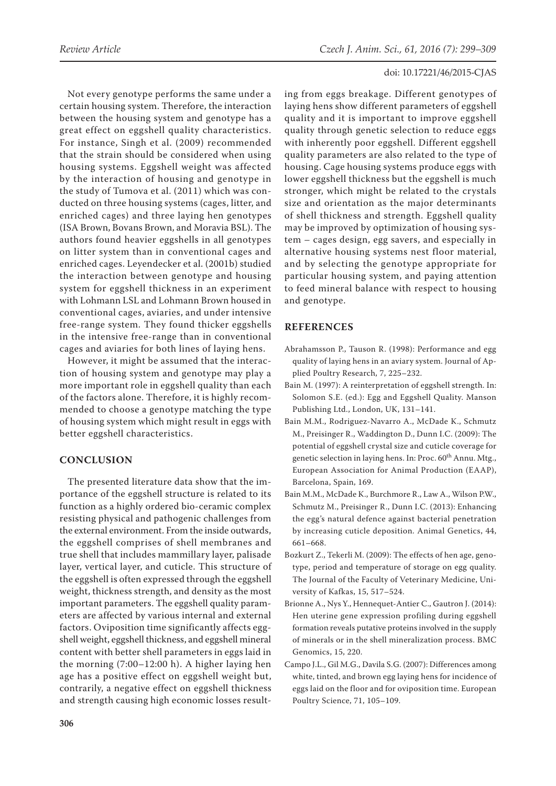Not every genotype performs the same under a certain housing system. Therefore, the interaction between the housing system and genotype has a great effect on eggshell quality characteristics. For instance, Singh et al. (2009) recommended that the strain should be considered when using housing systems. Eggshell weight was affected by the interaction of housing and genotype in the study of Tumova et al. (2011) which was conducted on three housing systems (cages, litter, and enriched cages) and three laying hen genotypes (ISA Brown, Bovans Brown, and Moravia BSL). The authors found heavier eggshells in all genotypes on litter system than in conventional cages and enriched cages. Leyendecker et al. (2001b) studied the interaction between genotype and housing system for eggshell thickness in an experiment with Lohmann LSL and Lohmann Brown housed in conventional cages, aviaries, and under intensive free-range system. They found thicker eggshells in the intensive free-range than in conventional cages and aviaries for both lines of laying hens.

However, it might be assumed that the interaction of housing system and genotype may play a more important role in eggshell quality than each of the factors alone. Therefore, it is highly recommended to choose a genotype matching the type of housing system which might result in eggs with better eggshell characteristics.

# **CONCLUSION**

The presented literature data show that the importance of the eggshell structure is related to its function as a highly ordered bio-ceramic complex resisting physical and pathogenic challenges from the external environment. From the inside outwards, the eggshell comprises of shell membranes and true shell that includes mammillary layer, palisade layer, vertical layer, and cuticle. This structure of the eggshell is often expressed through the eggshell weight, thickness strength, and density as the most important parameters. The eggshell quality parameters are affected by various internal and external factors. Oviposition time significantly affects eggshell weight, eggshell thickness, and eggshell mineral content with better shell parameters in eggs laid in the morning (7:00–12:00 h). A higher laying hen age has a positive effect on eggshell weight but, contrarily, a negative effect on eggshell thickness and strength causing high economic losses result-

ing from eggs breakage. Different genotypes of laying hens show different parameters of eggshell quality and it is important to improve eggshell quality through genetic selection to reduce eggs with inherently poor eggshell. Different eggshell quality parameters are also related to the type of housing. Cage housing systems produce eggs with lower eggshell thickness but the eggshell is much stronger, which might be related to the crystals size and orientation as the major determinants of shell thickness and strength. Eggshell quality may be improved by optimization of housing system – cages design, egg savers, and especially in alternative housing systems nest floor material, and by selecting the genotype appropriate for particular housing system, and paying attention to feed mineral balance with respect to housing and genotype.

# **REFERENCES**

- Abrahamsson P., Tauson R. (1998): Performance and egg quality of laying hens in an aviary system. Journal of Applied Poultry Research, 7, 225–232.
- Bain M. (1997): A reinterpretation of eggshell strength. In: Solomon S.E. (ed.): Egg and Eggshell Quality. Manson Publishing Ltd., London, UK, 131–141.
- Bain M.M., Rodriguez-Navarro A., McDade K., Schmutz M., Preisinger R., Waddington D., Dunn I.C. (2009): The potential of eggshell crystal size and cuticle coverage for genetic selection in laying hens. In: Proc. 60<sup>th</sup> Annu. Mtg., European Association for Animal Production (EAAP), Barcelona, Spain, 169.
- Bain M.M., McDade K., Burchmore R., Law A., Wilson P.W., Schmutz M., Preisinger R., Dunn I.C. (2013): Enhancing the egg's natural defence against bacterial penetration by increasing cuticle deposition. Animal Genetics, 44, 661–668.
- Bozkurt Z., Tekerli M. (2009): The effects of hen age, genotype, period and temperature of storage on egg quality. The Journal of the Faculty of Veterinary Medicine, University of Kafkas, 15, 517–524.
- Brionne A., Nys Y., Hennequet-Antier C., Gautron J. (2014): Hen uterine gene expression profiling during eggshell formation reveals putative proteins involved in the supply of minerals or in the shell mineralization process. BMC Genomics, 15, 220.
- Campo J.L., Gil M.G., Davila S.G. (2007): Differences among white, tinted, and brown egg laying hens for incidence of eggs laid on the floor and for oviposition time. European Poultry Science, 71, 105–109.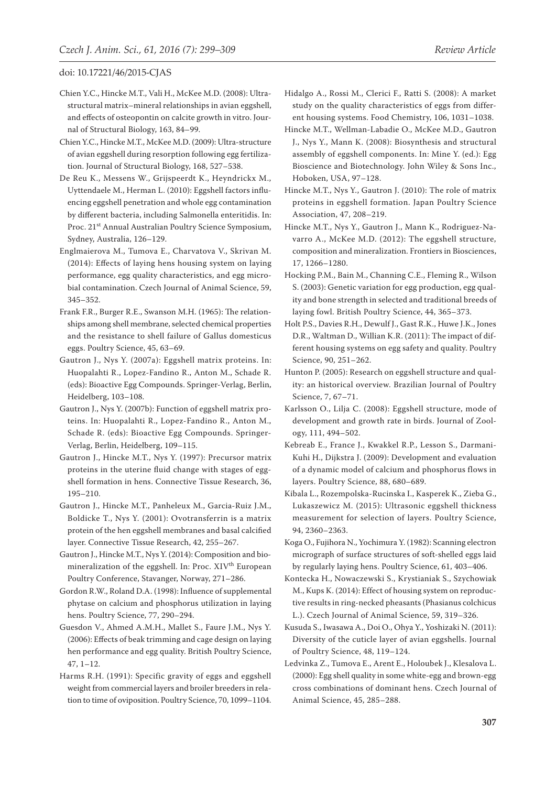- Chien Y.C., Hincke M.T., Vali H., McKee M.D. (2008): Ultrastructural matrix–mineral relationships in avian eggshell, and effects of osteopontin on calcite growth in vitro. Journal of Structural Biology, 163, 84–99.
- Chien Y.C., Hincke M.T., McKee M.D. (2009): Ultra-structure of avian eggshell during resorption following egg fertilization. Journal of Structural Biology, 168, 527–538.
- De Reu K., Messens W., Grijspeerdt K., Heyndrickx M., Uyttendaele M., Herman L. (2010): Eggshell factors influencing eggshell penetration and whole egg contamination by different bacteria, including Salmonella enteritidis. In: Proc. 21<sup>st</sup> Annual Australian Poultry Science Symposium, Sydney, Australia, 126–129.
- Englmaierova M., Tumova E., Charvatova V., Skrivan M. (2014): Effects of laying hens housing system on laying performance, egg quality characteristics, and egg microbial contamination. Czech Journal of Animal Science, 59, 345–352.
- Frank F.R., Burger R.E., Swanson M.H. (1965): The relationships among shell membrane, selected chemical properties and the resistance to shell failure of Gallus domesticus eggs. Poultry Science, 45, 63–69.
- Gautron J., Nys Y. (2007a): Eggshell matrix proteins. In: Huopalahti R., Lopez-Fandino R., Anton M., Schade R. (eds): Bioactive Egg Compounds. Springer-Verlag, Berlin, Heidelberg, 103–108.
- Gautron J., Nys Y. (2007b): Function of eggshell matrix proteins. In: Huopalahti R., Lopez-Fandino R., Anton M., Schade R. (eds): Bioactive Egg Compounds. Springer-Verlag, Berlin, Heidelberg, 109–115.
- Gautron J., Hincke M.T., Nys Y. (1997): Precursor matrix proteins in the uterine fluid change with stages of eggshell formation in hens. Connective Tissue Research, 36, 195–210.
- Gautron J., Hincke M.T., Panheleux M., Garcia-Ruiz J.M., Boldicke T., Nys Y. (2001): Ovotransferrin is a matrix protein of the hen eggshell membranes and basal calcified layer. Connective Tissue Research, 42, 255–267.
- Gautron J., Hincke M.T., Nys Y. (2014): Composition and biomineralization of the eggshell. In: Proc. XIV<sup>th</sup> European Poultry Conference, Stavanger, Norway, 271–286.
- Gordon R.W., Roland D.A. (1998): Influence of supplemental phytase on calcium and phosphorus utilization in laying hens. Poultry Science, 77, 290–294.
- Guesdon V., Ahmed A.M.H., Mallet S., Faure J.M., Nys Y. (2006): Effects of beak trimming and cage design on laying hen performance and egg quality. British Poultry Science, 47, 1–12.
- Harms R.H. (1991): Specific gravity of eggs and eggshell weight from commercial layers and broiler breeders in relation to time of oviposition. Poultry Science, 70, 1099–1104.
- Hidalgo A., Rossi M., Clerici F., Ratti S. (2008): A market study on the quality characteristics of eggs from different housing systems. Food Chemistry, 106, 1031–1038.
- Hincke M.T., Wellman-Labadie O., McKee M.D., Gautron J., Nys Y., Mann K. (2008): Biosynthesis and structural assembly of eggshell components. In: Mine Y. (ed.): Egg Bioscience and Biotechnology. John Wiley & Sons Inc., Hoboken, USA, 97–128.
- Hincke M.T., Nys Y., Gautron J. (2010): The role of matrix proteins in eggshell formation. Japan Poultry Science Association, 47, 208–219.
- Hincke M.T., Nys Y., Gautron J., Mann K., Rodriguez-Navarro A., McKee M.D. (2012): The eggshell structure, composition and mineralization. Frontiers in Biosciences, 17, 1266–1280.
- Hocking P.M., Bain M., Channing C.E., Fleming R., Wilson S. (2003): Genetic variation for egg production, egg quality and bone strength in selected and traditional breeds of laying fowl. British Poultry Science, 44, 365–373.
- Holt P.S., Davies R.H., Dewulf J., Gast R.K., Huwe J.K., Jones D.R., Waltman D., Willian K.R. (2011): The impact of different housing systems on egg safety and quality. Poultry Science, 90, 251–262.
- Hunton P. (2005): Research on eggshell structure and quality: an historical overview. Brazilian Journal of Poultry Science, 7, 67–71.
- Karlsson O., Lilja C. (2008): Eggshell structure, mode of development and growth rate in birds. Journal of Zoology, 111, 494–502.
- Kebreab E., France J., Kwakkel R.P., Lesson S., Darmani-Kuhi H., Dijkstra J. (2009): Development and evaluation of a dynamic model of calcium and phosphorus flows in layers. Poultry Science, 88, 680–689.
- Kibala L., Rozempolska-Rucinska I., Kasperek K., Zieba G., Lukaszewicz M. (2015): Ultrasonic eggshell thickness measurement for selection of layers. Poultry Science, 94, 2360–2363.
- Koga O., Fujihora N., Yochimura Y. (1982): Scanning electron micrograph of surface structures of soft-shelled eggs laid by regularly laying hens. Poultry Science, 61, 403–406.
- Kontecka H., Nowaczewski S., Krystianiak S., Szychowiak M., Kups K. (2014): Effect of housing system on reproductive results in ring-necked pheasants (Phasianus colchicus L.). Czech Journal of Animal Science, 59, 319–326.
- Kusuda S., Iwasawa A., Doi O., Ohya Y., Yoshizaki N. (2011): Diversity of the cuticle layer of avian eggshells. Journal of Poultry Science, 48, 119–124.
- Ledvinka Z., Tumova E., Arent E., Holoubek J., Klesalova L. (2000): Egg shell quality in some white-egg and brown-egg cross combinations of dominant hens. Czech Journal of Animal Science, 45, 285–288.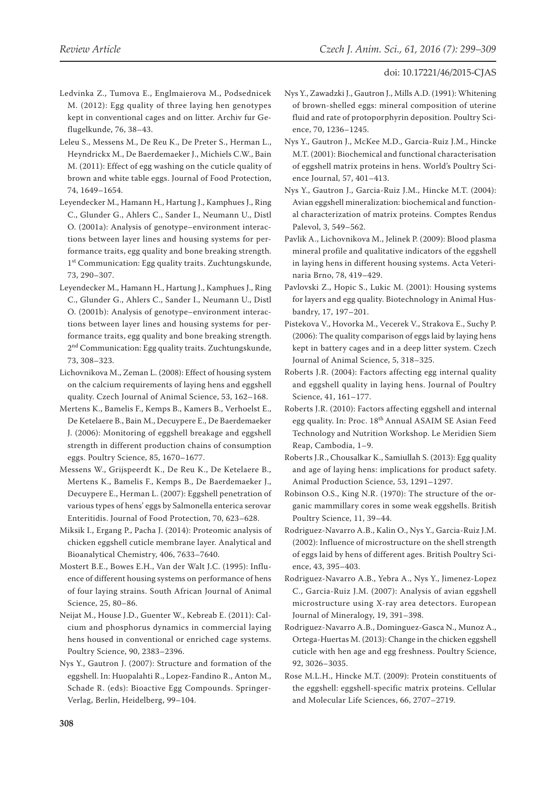- Ledvinka Z., Tumova E., Englmaierova M., Podsednicek M. (2012): Egg quality of three laying hen genotypes kept in conventional cages and on litter. Archiv fur Geflugelkunde, 76, 38–43.
- Leleu S., Messens M., De Reu K., De Preter S., Herman L., Heyndrickx M., De Baerdemaeker J., Michiels C.W., Bain M. (2011): Effect of egg washing on the cuticle quality of brown and white table eggs. Journal of Food Protection, 74, 1649–1654.
- Leyendecker M., Hamann H., Hartung J., Kamphues J., Ring C., Glunder G., Ahlers C., Sander I., Neumann U., Distl O. (2001a): Analysis of genotype–environment interactions between layer lines and housing systems for performance traits, egg quality and bone breaking strength. 1<sup>st</sup> Communication: Egg quality traits. Zuchtungskunde, 73, 290–307.
- Leyendecker M., Hamann H., Hartung J., Kamphues J., Ring C., Glunder G., Ahlers C., Sander I., Neumann U., Distl O. (2001b): Analysis of genotype–environment interactions between layer lines and housing systems for performance traits, egg quality and bone breaking strength. 2<sup>nd</sup> Communication: Egg quality traits. Zuchtungskunde, 73, 308–323.
- Lichovnikova M., Zeman L. (2008): Effect of housing system on the calcium requirements of laying hens and eggshell quality. Czech Journal of Animal Science, 53, 162–168.
- Mertens K., Bamelis F., Kemps B., Kamers B., Verhoelst E., De Ketelaere B., Bain M., Decuypere E., De Baerdemaeker J. (2006): Monitoring of eggshell breakage and eggshell strength in different production chains of consumption eggs. Poultry Science, 85, 1670–1677.
- Messens W., Grijspeerdt K., De Reu K., De Ketelaere B., Mertens K., Bamelis F., Kemps B., De Baerdemaeker J., Decuypere E., Herman L. (2007): Eggshell penetration of various types of hens' eggs by Salmonella enterica serovar Enteritidis. Journal of Food Protection, 70, 623–628.
- Miksik I., Ergang P., Pacha J. (2014): Proteomic analysis of chicken eggshell cuticle membrane layer. Analytical and Bioanalytical Chemistry, 406, 7633–7640.
- Mostert B.E., Bowes E.H., Van der Walt J.C. (1995): Influence of different housing systems on performance of hens of four laying strains. South African Journal of Animal Science, 25, 80–86.
- Neijat M., House J.D., Guenter W., Kebreab E. (2011): Calcium and phosphorus dynamics in commercial laying hens housed in conventional or enriched cage systems. Poultry Science, 90, 2383–2396.
- Nys Y., Gautron J. (2007): Structure and formation of the eggshell. In: Huopalahti R., Lopez-Fandino R., Anton M., Schade R. (eds): Bioactive Egg Compounds. Springer-Verlag, Berlin, Heidelberg, 99–104.
- Nys Y., Zawadzki J., Gautron J., Mills A.D. (1991): Whitening of brown-shelled eggs: mineral composition of uterine fluid and rate of protoporphyrin deposition. Poultry Science, 70, 1236–1245.
- Nys Y., Gautron J., McKee M.D., Garcia-Ruiz J.M., Hincke M.T. (2001): Biochemical and functional characterisation of eggshell matrix proteins in hens. World's Poultry Science Journal, 57, 401–413.
- Nys Y., Gautron J., Garcia-Ruiz J.M., Hincke M.T. (2004): Avian eggshell mineralization: biochemical and functional characterization of matrix proteins. Comptes Rendus Palevol, 3, 549–562.
- Pavlik A., Lichovnikova M., Jelinek P. (2009): Blood plasma mineral profile and qualitative indicators of the eggshell in laying hens in different housing systems. Acta Veterinaria Brno, 78, 419–429.
- Pavlovski Z., Hopic S., Lukic M. (2001): Housing systems for layers and egg quality. Biotechnology in Animal Husbandry, 17, 197–201.
- Pistekova V., Hovorka M., Vecerek V., Strakova E., Suchy P. (2006): The quality comparison of eggs laid by laying hens kept in battery cages and in a deep litter system. Czech Journal of Animal Science, 5, 318–325.
- Roberts J.R. (2004): Factors affecting egg internal quality and eggshell quality in laying hens. Journal of Poultry Science, 41, 161–177.
- Roberts J.R. (2010): Factors affecting eggshell and internal egg quality. In: Proc. 18<sup>th</sup> Annual ASAIM SE Asian Feed Technology and Nutrition Workshop. Le Meridien Siem Reap, Cambodia, 1–9.
- Roberts J.R., Chousalkar K., Samiullah S. (2013): Egg quality and age of laying hens: implications for product safety. Animal Production Science, 53, 1291–1297.
- Robinson O.S., King N.R. (1970): The structure of the organic mammillary cores in some weak eggshells. British Poultry Science, 11, 39–44.
- Rodriguez-Navarro A.B., Kalin O., Nys Y., Garcia-Ruiz J.M. (2002): Influence of microstructure on the shell strength of eggs laid by hens of different ages. British Poultry Science, 43, 395–403.
- Rodriguez-Navarro A.B., Yebra A., Nys Y., Jimenez-Lopez C., Garcia-Ruiz J.M. (2007): Analysis of avian eggshell microstructure using X-ray area detectors. European Journal of Mineralogy, 19, 391–398.
- Rodriguez-Navarro A.B., Dominguez-Gasca N., Munoz A., Ortega-Huertas M. (2013): Change in the chicken eggshell cuticle with hen age and egg freshness. Poultry Science, 92, 3026–3035.
- Rose M.L.H., Hincke M.T. (2009): Protein constituents of the eggshell: eggshell-specific matrix proteins. Cellular and Molecular Life Sciences, 66, 2707–2719.